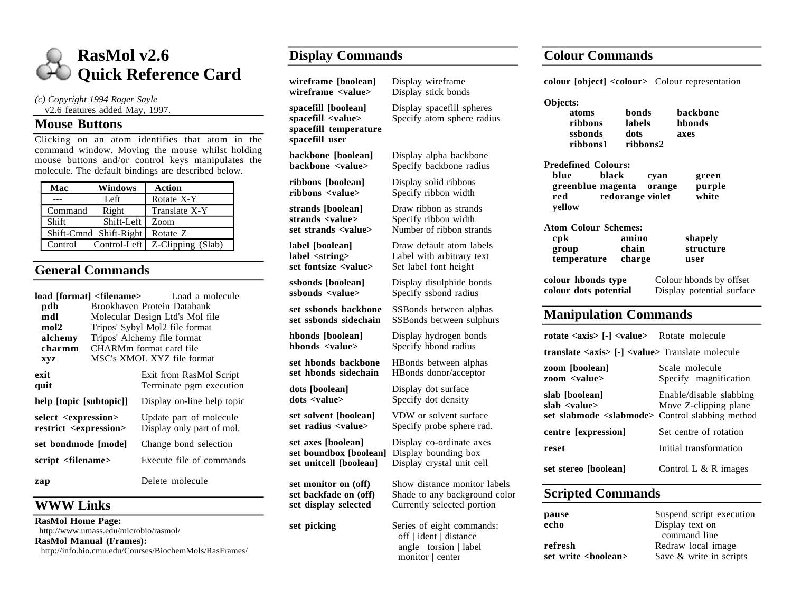

*(c) Copyright 1994 Roger Sayle*

#### v2.6 features added May, 1997.

#### **Mouse Buttons**

Clicking on an atom identifies that atom in the command window. Moving the mouse whilst holding mouse buttons and/or control keys manipulates the molecule. The default bindings are described below.

| Mac     | Windows                | <b>Action</b>     |
|---------|------------------------|-------------------|
|         | Left                   | Rotate X-Y        |
| Command | Right                  | Translate X-Y     |
| Shift   | Shift-Left             | Zoom              |
|         | Shift-Cmnd Shift-Right | Rotate Z          |
| Control | Control-Left           | Z-Clipping (Slab) |

## **General Commands**

| <b>load [format] <filename></filename></b> Load a molecule<br>pdb<br>mdl<br>mol2<br>alchemy<br>charmm<br><b>XVZ</b> |  | Brookhaven Protein Databank<br>Molecular Design Ltd's Mol file<br>Tripos' Sybyl Mol2 file format<br>Tripos' Alchemy file format<br>CHARMm format card file<br>MSC's XMOL XYZ file format |  |
|---------------------------------------------------------------------------------------------------------------------|--|------------------------------------------------------------------------------------------------------------------------------------------------------------------------------------------|--|
| exit<br>quit                                                                                                        |  | Exit from RasMol Script<br>Terminate pgm execution                                                                                                                                       |  |
| help [topic [subtopic]]                                                                                             |  | Display on-line help topic                                                                                                                                                               |  |
| select <expression><br/>restrict <expression></expression></expression>                                             |  | Update part of molecule<br>Display only part of mol.                                                                                                                                     |  |
| set bondmode [mode]                                                                                                 |  | Change bond selection                                                                                                                                                                    |  |
| script <filename></filename>                                                                                        |  | Execute file of commands                                                                                                                                                                 |  |
| zap                                                                                                                 |  | Delete molecule                                                                                                                                                                          |  |

## **WWW Links**

**RasMol Home Page:** http://www.umass.edu/microbio/rasmol/ **RasMol Manual (Frames):** http://info.bio.cmu.edu/Courses/BiochemMols/RasFrames/

# **Display Commands**

**wireframe [boolean]** Display wireframe **wireframe <value>** Display stick bonds **spacefill [boolean]** Display spacefill spheres<br>**spacefill <value>** Specify atom sphere radii Specify atom sphere radiu **spacefill temperature spacefill user backbone [boolean]** Display alpha backbone **backbone** <value> Specify backbone radius **ribbons [boolean]** Display solid ribbons<br>**ribbons** <**value>** Specify ribbon width Specify ribbon width **strands [boolean]** Draw ribbon as strands **strands <value>** Specify ribbon width set strands <value> Number of ribbon strands **label [boolean]** Draw default atom labels **label <string>** Label with arbitrary text set fontsize <value> Set label font height **ssbonds [boolean]** Display disulphide bonds<br> **ssbonds** <value> Specify ssbond radius Specify ssbond radius **set ssbonds backbone** SSBonds between alphas set ssbonds sidechain SSBonds between sulphurs **hbonds [boolean]** Display hydrogen bonds<br> **hbonds** <value> Specify hbond radius Specify hbond radius **set hbonds backbone** HBonds between alphas **set hbonds sidechain** HBonds donor/acceptor **dots [boolean]** Display dot surface<br> **dots <value>** Specify dot density Specify dot density **set solvent [boolean]** VDW or solvent surface set radius <value> Specify probe sphere rad. **set axes [boolean]** Display co-ordinate axes **set boundbox [boolean]** Display bounding box **set unitcell [boolean]** Display crystal unit ce Display crystal unit cell **set monitor on (off)** Show distance monitor labels set backfade on (off) Shade to any background set display selected Currently selected portion **set picking** Series of eight commands: off | ident | distance angle | torsion | label monitor | center

### **Colour Commands**

|       | colour [object] <colour> Colour representation</colour>                                               |                                                      |  |  |
|-------|-------------------------------------------------------------------------------------------------------|------------------------------------------------------|--|--|
| ιs    | Objects:<br>bonds<br>atoms<br>ribbons<br>labels<br>ssbonds<br>dots<br>ribbons1<br>ribbons2            | backbone<br>hbonds<br>axes                           |  |  |
|       | <b>Predefined Colours:</b><br>black<br>blue<br>greenblue magenta<br>redorange violet<br>red<br>yellow | cyan<br>green<br>purple<br>orange<br>white           |  |  |
|       | <b>Atom Colour Schemes:</b><br>cpk<br>amino<br>chain<br>group<br>temperature<br>charge                | shapely<br>structure<br>user                         |  |  |
|       | colour hbonds type<br>colour dots potential                                                           | Colour hbonds by offset<br>Display potential surface |  |  |
| S     | <b>Manipulation Commands</b>                                                                          |                                                      |  |  |
|       | rotate <axis>[-]<value> Rotate molecule</value></axis>                                                |                                                      |  |  |
|       | translate <axis> [-] <value> Translate molecule</value></axis>                                        |                                                      |  |  |
|       | zoom [boolean]<br>zoom <value></value>                                                                | Scale molecule<br>Specify magnification              |  |  |
|       | slab [boolean]<br>slab <value><br/>set slabmode <slabmode> Control slabbing method</slabmode></value> | Enable/disable slabbing<br>Move Z-clipping plane     |  |  |
|       | centre [expression]                                                                                   | Set centre of rotation                               |  |  |
|       | reset                                                                                                 | Initial transformation                               |  |  |
| bels  | set stereo [boolean]                                                                                  | Control L $\&$ R images                              |  |  |
| color | <b>Scripted Commands</b>                                                                              |                                                      |  |  |
|       |                                                                                                       |                                                      |  |  |

| pause                 | Suspend script execution |  |
|-----------------------|--------------------------|--|
| echo                  | Display text on          |  |
|                       | command line             |  |
| refresh               | Redraw local image       |  |
| set write<br>boolean> | Save & write in scripts  |  |